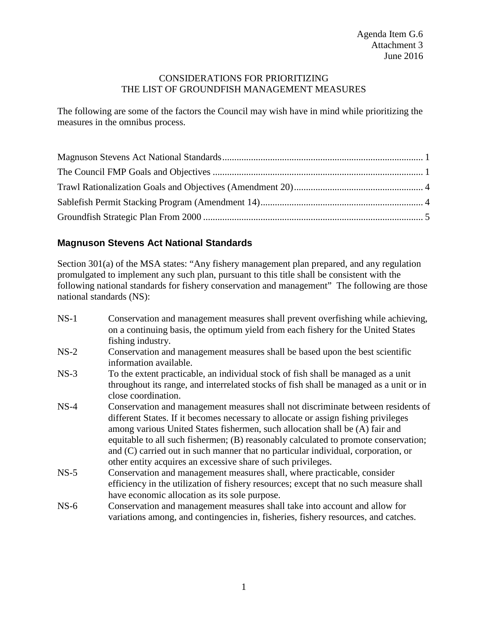## CONSIDERATIONS FOR PRIORITIZING THE LIST OF GROUNDFISH MANAGEMENT MEASURES

The following are some of the factors the Council may wish have in mind while prioritizing the measures in the omnibus process.

# <span id="page-0-0"></span>**Magnuson Stevens Act National Standards**

Section 301(a) of the MSA states: "Any fishery management plan prepared, and any regulation promulgated to implement any such plan, pursuant to this title shall be consistent with the following national standards for fishery conservation and management" The following are those national standards (NS):

| $NS-1$ | Conservation and management measures shall prevent overfishing while achieving,<br>on a continuing basis, the optimum yield from each fishery for the United States                                                                                                                                                                                                                                                                                                                                |
|--------|----------------------------------------------------------------------------------------------------------------------------------------------------------------------------------------------------------------------------------------------------------------------------------------------------------------------------------------------------------------------------------------------------------------------------------------------------------------------------------------------------|
|        | fishing industry.                                                                                                                                                                                                                                                                                                                                                                                                                                                                                  |
| $NS-2$ | Conservation and management measures shall be based upon the best scientific<br>information available.                                                                                                                                                                                                                                                                                                                                                                                             |
| $NS-3$ | To the extent practicable, an individual stock of fish shall be managed as a unit<br>throughout its range, and interrelated stocks of fish shall be managed as a unit or in<br>close coordination.                                                                                                                                                                                                                                                                                                 |
| $NS-4$ | Conservation and management measures shall not discriminate between residents of<br>different States. If it becomes necessary to allocate or assign fishing privileges<br>among various United States fishermen, such allocation shall be (A) fair and<br>equitable to all such fishermen; (B) reasonably calculated to promote conservation;<br>and (C) carried out in such manner that no particular individual, corporation, or<br>other entity acquires an excessive share of such privileges. |
| $NS-5$ | Conservation and management measures shall, where practicable, consider<br>efficiency in the utilization of fishery resources; except that no such measure shall<br>have economic allocation as its sole purpose.                                                                                                                                                                                                                                                                                  |
| $NS-6$ | Conservation and management measures shall take into account and allow for<br>variations among, and contingencies in, fisheries, fishery resources, and catches.                                                                                                                                                                                                                                                                                                                                   |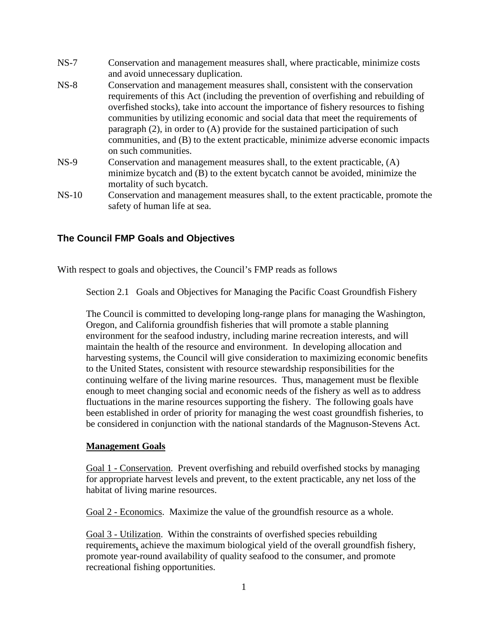- NS-7 Conservation and management measures shall, where practicable, minimize costs and avoid unnecessary duplication. NS-8 Conservation and management measures shall, consistent with the conservation requirements of this Act (including the prevention of overfishing and rebuilding of overfished stocks), take into account the importance of fishery resources to fishing communities by utilizing economic and social data that meet the requirements of paragraph (2), in order to (A) provide for the sustained participation of such communities, and (B) to the extent practicable, minimize adverse economic impacts on such communities. NS-9 Conservation and management measures shall, to the extent practicable, (A) minimize bycatch and (B) to the extent bycatch cannot be avoided, minimize the mortality of such bycatch.
- NS-10 Conservation and management measures shall, to the extent practicable, promote the safety of human life at sea.

# <span id="page-1-0"></span>**The Council FMP Goals and Objectives**

With respect to goals and objectives, the Council's FMP reads as follows

Section 2.1 Goals and Objectives for Managing the Pacific Coast Groundfish Fishery

The Council is committed to developing long-range plans for managing the Washington, Oregon, and California groundfish fisheries that will promote a stable planning environment for the seafood industry, including marine recreation interests, and will maintain the health of the resource and environment. In developing allocation and harvesting systems, the Council will give consideration to maximizing economic benefits to the United States, consistent with resource stewardship responsibilities for the continuing welfare of the living marine resources. Thus, management must be flexible enough to meet changing social and economic needs of the fishery as well as to address fluctuations in the marine resources supporting the fishery. The following goals have been established in order of priority for managing the west coast groundfish fisheries, to be considered in conjunction with the national standards of the Magnuson-Stevens Act.

## **Management Goals**

Goal 1 - Conservation. Prevent overfishing and rebuild overfished stocks by managing for appropriate harvest levels and prevent, to the extent practicable, any net loss of the habitat of living marine resources.

Goal 2 - Economics. Maximize the value of the groundfish resource as a whole.

Goal 3 - Utilization. Within the constraints of overfished species rebuilding requirements, achieve the maximum biological yield of the overall groundfish fishery, promote year-round availability of quality seafood to the consumer, and promote recreational fishing opportunities.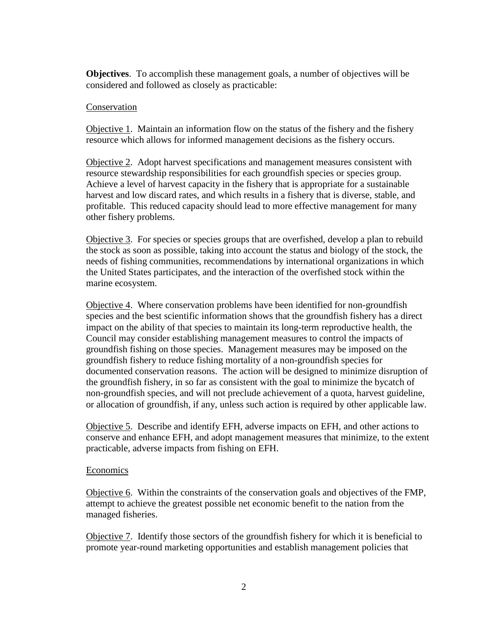**Objectives**. To accomplish these management goals, a number of objectives will be considered and followed as closely as practicable:

#### Conservation

Objective 1. Maintain an information flow on the status of the fishery and the fishery resource which allows for informed management decisions as the fishery occurs.

Objective 2. Adopt harvest specifications and management measures consistent with resource stewardship responsibilities for each groundfish species or species group. Achieve a level of harvest capacity in the fishery that is appropriate for a sustainable harvest and low discard rates, and which results in a fishery that is diverse, stable, and profitable. This reduced capacity should lead to more effective management for many other fishery problems.

Objective 3. For species or species groups that are overfished, develop a plan to rebuild the stock as soon as possible, taking into account the status and biology of the stock, the needs of fishing communities, recommendations by international organizations in which the United States participates, and the interaction of the overfished stock within the marine ecosystem.

Objective 4. Where conservation problems have been identified for non-groundfish species and the best scientific information shows that the groundfish fishery has a direct impact on the ability of that species to maintain its long-term reproductive health, the Council may consider establishing management measures to control the impacts of groundfish fishing on those species. Management measures may be imposed on the groundfish fishery to reduce fishing mortality of a non-groundfish species for documented conservation reasons. The action will be designed to minimize disruption of the groundfish fishery, in so far as consistent with the goal to minimize the bycatch of non-groundfish species, and will not preclude achievement of a quota, harvest guideline, or allocation of groundfish, if any, unless such action is required by other applicable law.

Objective 5. Describe and identify EFH, adverse impacts on EFH, and other actions to conserve and enhance EFH, and adopt management measures that minimize, to the extent practicable, adverse impacts from fishing on EFH.

#### Economics

Objective 6. Within the constraints of the conservation goals and objectives of the FMP, attempt to achieve the greatest possible net economic benefit to the nation from the managed fisheries.

Objective 7. Identify those sectors of the groundfish fishery for which it is beneficial to promote year-round marketing opportunities and establish management policies that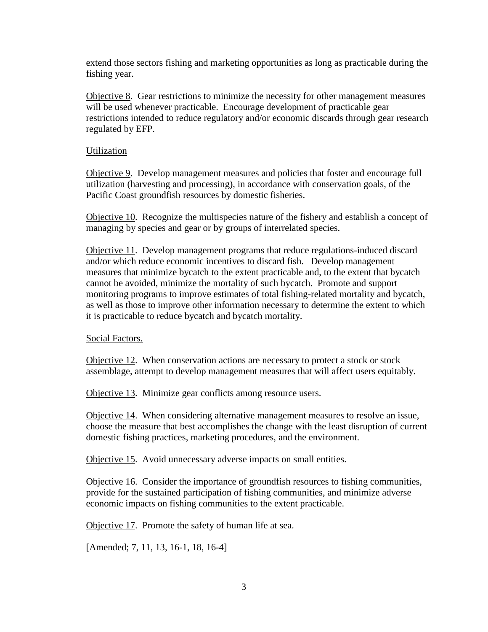extend those sectors fishing and marketing opportunities as long as practicable during the fishing year.

Objective 8. Gear restrictions to minimize the necessity for other management measures will be used whenever practicable. Encourage development of practicable gear restrictions intended to reduce regulatory and/or economic discards through gear research regulated by EFP.

## Utilization

Objective 9. Develop management measures and policies that foster and encourage full utilization (harvesting and processing), in accordance with conservation goals, of the Pacific Coast groundfish resources by domestic fisheries.

Objective 10. Recognize the multispecies nature of the fishery and establish a concept of managing by species and gear or by groups of interrelated species.

Objective 11. Develop management programs that reduce regulations-induced discard and/or which reduce economic incentives to discard fish. Develop management measures that minimize bycatch to the extent practicable and, to the extent that bycatch cannot be avoided, minimize the mortality of such bycatch. Promote and support monitoring programs to improve estimates of total fishing-related mortality and bycatch, as well as those to improve other information necessary to determine the extent to which it is practicable to reduce bycatch and bycatch mortality.

## Social Factors.

Objective 12. When conservation actions are necessary to protect a stock or stock assemblage, attempt to develop management measures that will affect users equitably.

Objective 13. Minimize gear conflicts among resource users.

Objective 14. When considering alternative management measures to resolve an issue, choose the measure that best accomplishes the change with the least disruption of current domestic fishing practices, marketing procedures, and the environment.

Objective 15. Avoid unnecessary adverse impacts on small entities.

Objective 16. Consider the importance of groundfish resources to fishing communities, provide for the sustained participation of fishing communities, and minimize adverse economic impacts on fishing communities to the extent practicable.

Objective 17. Promote the safety of human life at sea.

[Amended; 7, 11, 13, 16-1, 18, 16-4]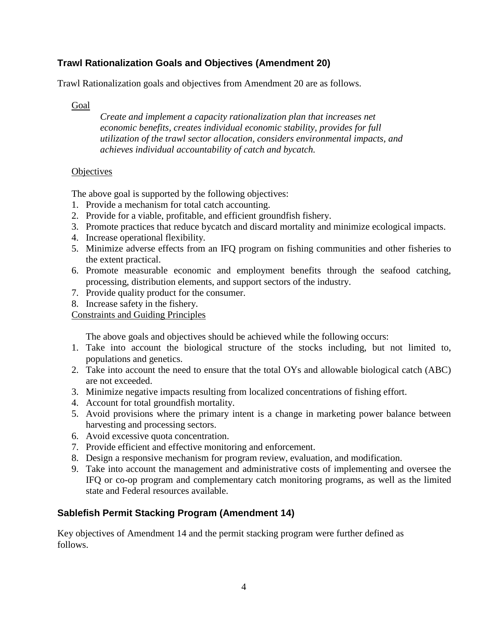# <span id="page-4-0"></span>**Trawl Rationalization Goals and Objectives (Amendment 20)**

Trawl Rationalization goals and objectives from Amendment 20 are as follows.

# Goal

*Create and implement a capacity rationalization plan that increases net economic benefits, creates individual economic stability, provides for full utilization of the trawl sector allocation, considers environmental impacts, and achieves individual accountability of catch and bycatch.*

## **Objectives**

The above goal is supported by the following objectives:

- 1. Provide a mechanism for total catch accounting.
- 2. Provide for a viable, profitable, and efficient groundfish fishery.
- 3. Promote practices that reduce bycatch and discard mortality and minimize ecological impacts.
- 4. Increase operational flexibility.
- 5. Minimize adverse effects from an IFQ program on fishing communities and other fisheries to the extent practical.
- 6. Promote measurable economic and employment benefits through the seafood catching, processing, distribution elements, and support sectors of the industry.
- 7. Provide quality product for the consumer.
- 8. Increase safety in the fishery.

Constraints and Guiding Principles

The above goals and objectives should be achieved while the following occurs:

- 1. Take into account the biological structure of the stocks including, but not limited to, populations and genetics.
- 2. Take into account the need to ensure that the total OYs and allowable biological catch (ABC) are not exceeded.
- 3. Minimize negative impacts resulting from localized concentrations of fishing effort.
- 4. Account for total groundfish mortality.
- 5. Avoid provisions where the primary intent is a change in marketing power balance between harvesting and processing sectors.
- 6. Avoid excessive quota concentration.
- 7. Provide efficient and effective monitoring and enforcement.
- 8. Design a responsive mechanism for program review, evaluation, and modification.
- 9. Take into account the management and administrative costs of implementing and oversee the IFQ or co-op program and complementary catch monitoring programs, as well as the limited state and Federal resources available.

# <span id="page-4-1"></span>**Sablefish Permit Stacking Program (Amendment 14)**

Key objectives of Amendment 14 and the permit stacking program were further defined as follows.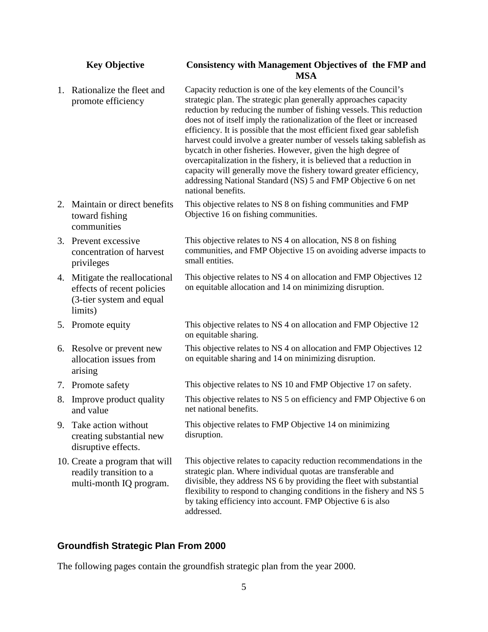## **Key Objective Consistency with Management Objectives of the FMP and MSA**

|    | 1. Rationalize the fleet and<br>promote efficiency                                                  | Capacity reduction is one of the key elements of the Council's<br>strategic plan. The strategic plan generally approaches capacity<br>reduction by reducing the number of fishing vessels. This reduction<br>does not of itself imply the rationalization of the fleet or increased<br>efficiency. It is possible that the most efficient fixed gear sablefish<br>harvest could involve a greater number of vessels taking sablefish as<br>bycatch in other fisheries. However, given the high degree of<br>overcapitalization in the fishery, it is believed that a reduction in<br>capacity will generally move the fishery toward greater efficiency,<br>addressing National Standard (NS) 5 and FMP Objective 6 on net<br>national benefits. |
|----|-----------------------------------------------------------------------------------------------------|--------------------------------------------------------------------------------------------------------------------------------------------------------------------------------------------------------------------------------------------------------------------------------------------------------------------------------------------------------------------------------------------------------------------------------------------------------------------------------------------------------------------------------------------------------------------------------------------------------------------------------------------------------------------------------------------------------------------------------------------------|
|    | 2. Maintain or direct benefits<br>toward fishing<br>communities                                     | This objective relates to NS 8 on fishing communities and FMP<br>Objective 16 on fishing communities.                                                                                                                                                                                                                                                                                                                                                                                                                                                                                                                                                                                                                                            |
|    | 3. Prevent excessive<br>concentration of harvest<br>privileges                                      | This objective relates to NS 4 on allocation, NS 8 on fishing<br>communities, and FMP Objective 15 on avoiding adverse impacts to<br>small entities.                                                                                                                                                                                                                                                                                                                                                                                                                                                                                                                                                                                             |
|    | 4. Mitigate the reallocational<br>effects of recent policies<br>(3-tier system and equal<br>limits) | This objective relates to NS 4 on allocation and FMP Objectives 12<br>on equitable allocation and 14 on minimizing disruption.                                                                                                                                                                                                                                                                                                                                                                                                                                                                                                                                                                                                                   |
|    | 5. Promote equity                                                                                   | This objective relates to NS 4 on allocation and FMP Objective 12<br>on equitable sharing.                                                                                                                                                                                                                                                                                                                                                                                                                                                                                                                                                                                                                                                       |
|    | 6. Resolve or prevent new<br>allocation issues from<br>arising                                      | This objective relates to NS 4 on allocation and FMP Objectives 12<br>on equitable sharing and 14 on minimizing disruption.                                                                                                                                                                                                                                                                                                                                                                                                                                                                                                                                                                                                                      |
|    | 7. Promote safety                                                                                   | This objective relates to NS 10 and FMP Objective 17 on safety.                                                                                                                                                                                                                                                                                                                                                                                                                                                                                                                                                                                                                                                                                  |
| 8. | Improve product quality<br>and value                                                                | This objective relates to NS 5 on efficiency and FMP Objective 6 on<br>net national benefits.                                                                                                                                                                                                                                                                                                                                                                                                                                                                                                                                                                                                                                                    |
|    | 9. Take action without<br>creating substantial new<br>disruptive effects.                           | This objective relates to FMP Objective 14 on minimizing<br>disruption.                                                                                                                                                                                                                                                                                                                                                                                                                                                                                                                                                                                                                                                                          |
|    | 10. Create a program that will<br>readily transition to a<br>multi-month IQ program.                | This objective relates to capacity reduction recommendations in the<br>strategic plan. Where individual quotas are transferable and<br>divisible, they address NS 6 by providing the fleet with substantial<br>flexibility to respond to changing conditions in the fishery and NS 5<br>by taking efficiency into account. FMP Objective 6 is also<br>addressed.                                                                                                                                                                                                                                                                                                                                                                                 |

# <span id="page-5-0"></span>**Groundfish Strategic Plan From 2000**

The following pages contain the groundfish strategic plan from the year 2000.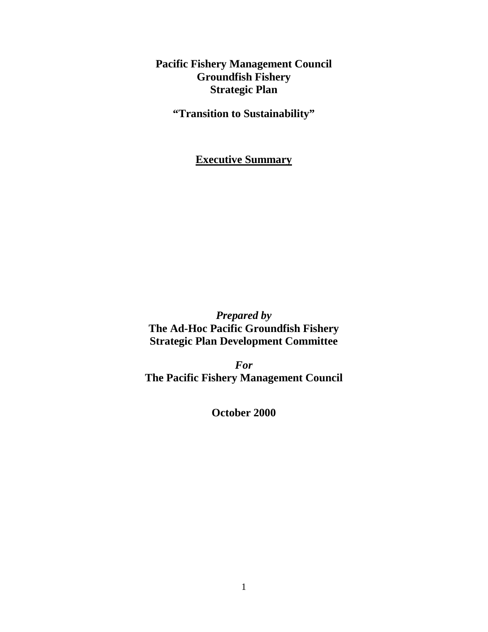**Pacific Fishery Management Council Groundfish Fishery Strategic Plan**

**"Transition to Sustainability"**

**Executive Summary**

*Prepared by* **The Ad-Hoc Pacific Groundfish Fishery Strategic Plan Development Committee**

*For* **The Pacific Fishery Management Council**

**October 2000**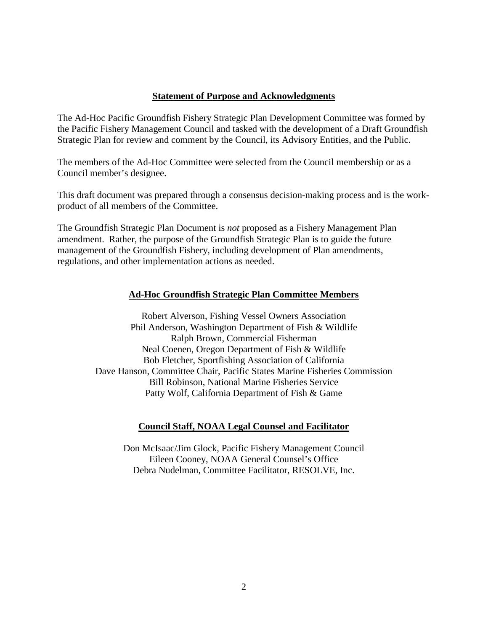## **Statement of Purpose and Acknowledgments**

The Ad-Hoc Pacific Groundfish Fishery Strategic Plan Development Committee was formed by the Pacific Fishery Management Council and tasked with the development of a Draft Groundfish Strategic Plan for review and comment by the Council, its Advisory Entities, and the Public.

The members of the Ad-Hoc Committee were selected from the Council membership or as a Council member's designee.

This draft document was prepared through a consensus decision-making process and is the workproduct of all members of the Committee.

The Groundfish Strategic Plan Document is *not* proposed as a Fishery Management Plan amendment. Rather, the purpose of the Groundfish Strategic Plan is to guide the future management of the Groundfish Fishery, including development of Plan amendments, regulations, and other implementation actions as needed.

# **Ad-Hoc Groundfish Strategic Plan Committee Members**

Robert Alverson, Fishing Vessel Owners Association Phil Anderson, Washington Department of Fish & Wildlife Ralph Brown, Commercial Fisherman Neal Coenen, Oregon Department of Fish & Wildlife Bob Fletcher, Sportfishing Association of California Dave Hanson, Committee Chair, Pacific States Marine Fisheries Commission Bill Robinson, National Marine Fisheries Service Patty Wolf, California Department of Fish & Game

# **Council Staff, NOAA Legal Counsel and Facilitator**

Don McIsaac/Jim Glock, Pacific Fishery Management Council Eileen Cooney, NOAA General Counsel's Office Debra Nudelman, Committee Facilitator, RESOLVE, Inc.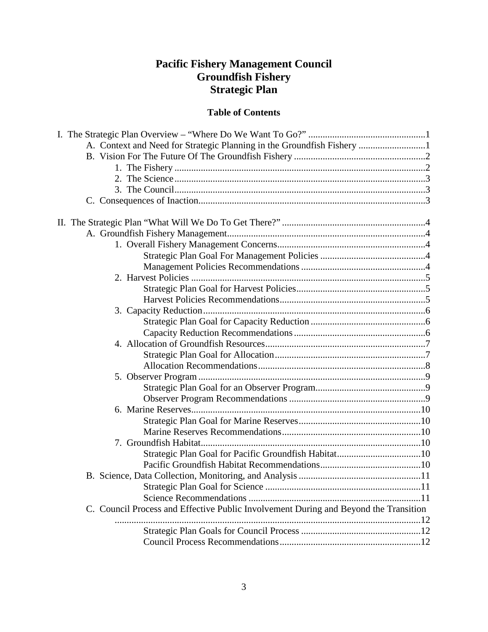# **Pacific Fishery Management Council Groundfish Fishery Strategic Plan**

# **Table of Contents**

| C. Council Process and Effective Public Involvement During and Beyond the Transition |  |
|--------------------------------------------------------------------------------------|--|
|                                                                                      |  |
|                                                                                      |  |
|                                                                                      |  |
|                                                                                      |  |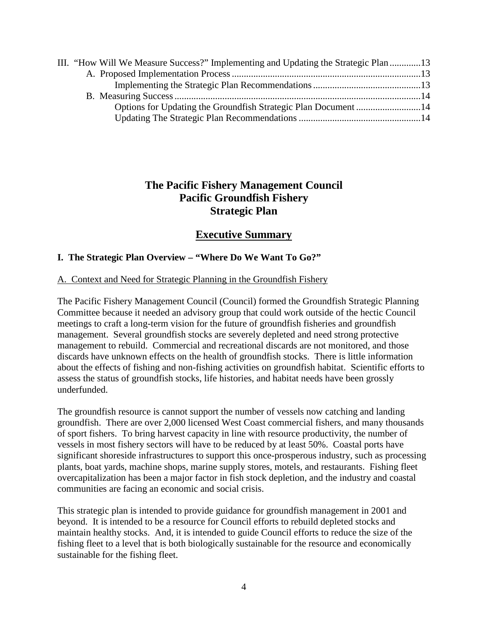| III. "How Will We Measure Success?" Implementing and Updating the Strategic Plan 13 |  |
|-------------------------------------------------------------------------------------|--|
|                                                                                     |  |
|                                                                                     |  |
|                                                                                     |  |
|                                                                                     |  |
|                                                                                     |  |

# **The Pacific Fishery Management Council Pacific Groundfish Fishery Strategic Plan**

# **Executive Summary**

# **I. The Strategic Plan Overview – "Where Do We Want To Go?"**

# A. Context and Need for Strategic Planning in the Groundfish Fishery

The Pacific Fishery Management Council (Council) formed the Groundfish Strategic Planning Committee because it needed an advisory group that could work outside of the hectic Council meetings to craft a long-term vision for the future of groundfish fisheries and groundfish management. Several groundfish stocks are severely depleted and need strong protective management to rebuild. Commercial and recreational discards are not monitored, and those discards have unknown effects on the health of groundfish stocks. There is little information about the effects of fishing and non-fishing activities on groundfish habitat. Scientific efforts to assess the status of groundfish stocks, life histories, and habitat needs have been grossly underfunded.

The groundfish resource is cannot support the number of vessels now catching and landing groundfish. There are over 2,000 licensed West Coast commercial fishers, and many thousands of sport fishers. To bring harvest capacity in line with resource productivity, the number of vessels in most fishery sectors will have to be reduced by at least 50%. Coastal ports have significant shoreside infrastructures to support this once-prosperous industry, such as processing plants, boat yards, machine shops, marine supply stores, motels, and restaurants. Fishing fleet overcapitalization has been a major factor in fish stock depletion, and the industry and coastal communities are facing an economic and social crisis.

This strategic plan is intended to provide guidance for groundfish management in 2001 and beyond. It is intended to be a resource for Council efforts to rebuild depleted stocks and maintain healthy stocks. And, it is intended to guide Council efforts to reduce the size of the fishing fleet to a level that is both biologically sustainable for the resource and economically sustainable for the fishing fleet.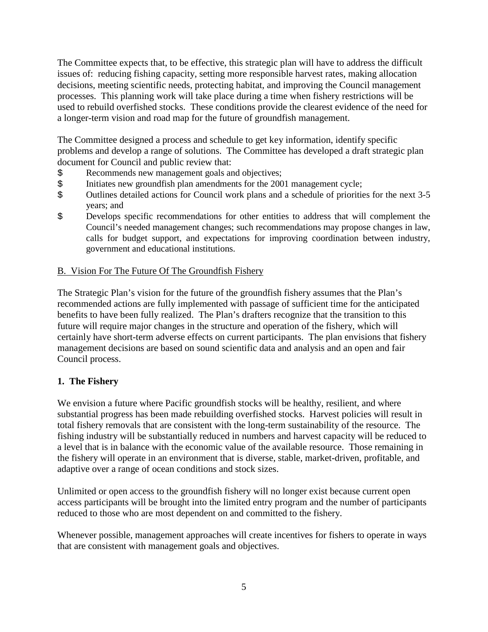The Committee expects that, to be effective, this strategic plan will have to address the difficult issues of: reducing fishing capacity, setting more responsible harvest rates, making allocation decisions, meeting scientific needs, protecting habitat, and improving the Council management processes. This planning work will take place during a time when fishery restrictions will be used to rebuild overfished stocks. These conditions provide the clearest evidence of the need for a longer-term vision and road map for the future of groundfish management.

The Committee designed a process and schedule to get key information, identify specific problems and develop a range of solutions. The Committee has developed a draft strategic plan document for Council and public review that:

- \$ Recommends new management goals and objectives;<br>\$ Initiates new groundfish plan amendments for the 200
- 
- \$ Initiates new groundfish plan amendments for the 2001 management cycle;<br>\$ Outlines detailed actions for Council work plans and a schedule of priorities Outlines detailed actions for Council work plans and a schedule of priorities for the next 3-5 years; and
- \$ Develops specific recommendations for other entities to address that will complement the Council's needed management changes; such recommendations may propose changes in law, calls for budget support, and expectations for improving coordination between industry, government and educational institutions.

## B. Vision For The Future Of The Groundfish Fishery

The Strategic Plan's vision for the future of the groundfish fishery assumes that the Plan's recommended actions are fully implemented with passage of sufficient time for the anticipated benefits to have been fully realized. The Plan's drafters recognize that the transition to this future will require major changes in the structure and operation of the fishery, which will certainly have short-term adverse effects on current participants. The plan envisions that fishery management decisions are based on sound scientific data and analysis and an open and fair Council process.

# **1. The Fishery**

We envision a future where Pacific groundfish stocks will be healthy, resilient, and where substantial progress has been made rebuilding overfished stocks. Harvest policies will result in total fishery removals that are consistent with the long-term sustainability of the resource. The fishing industry will be substantially reduced in numbers and harvest capacity will be reduced to a level that is in balance with the economic value of the available resource. Those remaining in the fishery will operate in an environment that is diverse, stable, market-driven, profitable, and adaptive over a range of ocean conditions and stock sizes.

Unlimited or open access to the groundfish fishery will no longer exist because current open access participants will be brought into the limited entry program and the number of participants reduced to those who are most dependent on and committed to the fishery.

Whenever possible, management approaches will create incentives for fishers to operate in ways that are consistent with management goals and objectives.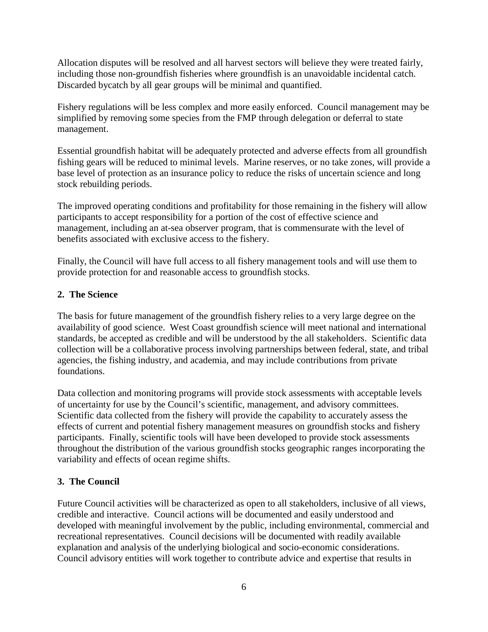Allocation disputes will be resolved and all harvest sectors will believe they were treated fairly, including those non-groundfish fisheries where groundfish is an unavoidable incidental catch. Discarded bycatch by all gear groups will be minimal and quantified.

Fishery regulations will be less complex and more easily enforced. Council management may be simplified by removing some species from the FMP through delegation or deferral to state management.

Essential groundfish habitat will be adequately protected and adverse effects from all groundfish fishing gears will be reduced to minimal levels. Marine reserves, or no take zones, will provide a base level of protection as an insurance policy to reduce the risks of uncertain science and long stock rebuilding periods.

The improved operating conditions and profitability for those remaining in the fishery will allow participants to accept responsibility for a portion of the cost of effective science and management, including an at-sea observer program, that is commensurate with the level of benefits associated with exclusive access to the fishery.

Finally, the Council will have full access to all fishery management tools and will use them to provide protection for and reasonable access to groundfish stocks.

# **2. The Science**

The basis for future management of the groundfish fishery relies to a very large degree on the availability of good science. West Coast groundfish science will meet national and international standards, be accepted as credible and will be understood by the all stakeholders. Scientific data collection will be a collaborative process involving partnerships between federal, state, and tribal agencies, the fishing industry, and academia, and may include contributions from private foundations.

Data collection and monitoring programs will provide stock assessments with acceptable levels of uncertainty for use by the Council's scientific, management, and advisory committees. Scientific data collected from the fishery will provide the capability to accurately assess the effects of current and potential fishery management measures on groundfish stocks and fishery participants. Finally, scientific tools will have been developed to provide stock assessments throughout the distribution of the various groundfish stocks geographic ranges incorporating the variability and effects of ocean regime shifts.

# **3. The Council**

Future Council activities will be characterized as open to all stakeholders, inclusive of all views, credible and interactive. Council actions will be documented and easily understood and developed with meaningful involvement by the public, including environmental, commercial and recreational representatives. Council decisions will be documented with readily available explanation and analysis of the underlying biological and socio-economic considerations. Council advisory entities will work together to contribute advice and expertise that results in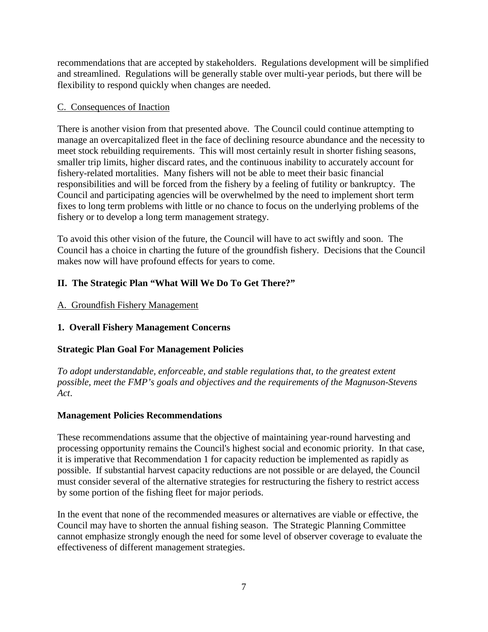recommendations that are accepted by stakeholders. Regulations development will be simplified and streamlined. Regulations will be generally stable over multi-year periods, but there will be flexibility to respond quickly when changes are needed.

# C. Consequences of Inaction

There is another vision from that presented above. The Council could continue attempting to manage an overcapitalized fleet in the face of declining resource abundance and the necessity to meet stock rebuilding requirements. This will most certainly result in shorter fishing seasons, smaller trip limits, higher discard rates, and the continuous inability to accurately account for fishery-related mortalities. Many fishers will not be able to meet their basic financial responsibilities and will be forced from the fishery by a feeling of futility or bankruptcy. The Council and participating agencies will be overwhelmed by the need to implement short term fixes to long term problems with little or no chance to focus on the underlying problems of the fishery or to develop a long term management strategy.

To avoid this other vision of the future, the Council will have to act swiftly and soon. The Council has a choice in charting the future of the groundfish fishery. Decisions that the Council makes now will have profound effects for years to come.

# **II. The Strategic Plan "What Will We Do To Get There?"**

# A. Groundfish Fishery Management

# **1. Overall Fishery Management Concerns**

# **Strategic Plan Goal For Management Policies**

*To adopt understandable, enforceable, and stable regulations that, to the greatest extent possible, meet the FMP's goals and objectives and the requirements of the Magnuson-Stevens Act*.

# **Management Policies Recommendations**

These recommendations assume that the objective of maintaining year-round harvesting and processing opportunity remains the Council's highest social and economic priority. In that case, it is imperative that Recommendation 1 for capacity reduction be implemented as rapidly as possible. If substantial harvest capacity reductions are not possible or are delayed, the Council must consider several of the alternative strategies for restructuring the fishery to restrict access by some portion of the fishing fleet for major periods.

In the event that none of the recommended measures or alternatives are viable or effective, the Council may have to shorten the annual fishing season. The Strategic Planning Committee cannot emphasize strongly enough the need for some level of observer coverage to evaluate the effectiveness of different management strategies.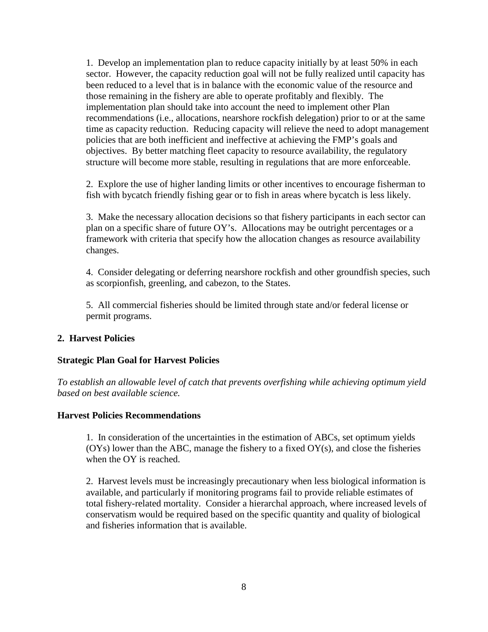1. Develop an implementation plan to reduce capacity initially by at least 50% in each sector. However, the capacity reduction goal will not be fully realized until capacity has been reduced to a level that is in balance with the economic value of the resource and those remaining in the fishery are able to operate profitably and flexibly. The implementation plan should take into account the need to implement other Plan recommendations (i.e., allocations, nearshore rockfish delegation) prior to or at the same time as capacity reduction. Reducing capacity will relieve the need to adopt management policies that are both inefficient and ineffective at achieving the FMP's goals and objectives. By better matching fleet capacity to resource availability, the regulatory structure will become more stable, resulting in regulations that are more enforceable.

2. Explore the use of higher landing limits or other incentives to encourage fisherman to fish with bycatch friendly fishing gear or to fish in areas where bycatch is less likely.

3. Make the necessary allocation decisions so that fishery participants in each sector can plan on a specific share of future OY's. Allocations may be outright percentages or a framework with criteria that specify how the allocation changes as resource availability changes.

4. Consider delegating or deferring nearshore rockfish and other groundfish species, such as scorpionfish, greenling, and cabezon, to the States.

5. All commercial fisheries should be limited through state and/or federal license or permit programs.

## **2. Harvest Policies**

## **Strategic Plan Goal for Harvest Policies**

*To establish an allowable level of catch that prevents overfishing while achieving optimum yield based on best available science.*

## **Harvest Policies Recommendations**

1. In consideration of the uncertainties in the estimation of ABCs, set optimum yields  $(OYs)$  lower than the ABC, manage the fishery to a fixed  $OY(s)$ , and close the fisheries when the OY is reached.

2. Harvest levels must be increasingly precautionary when less biological information is available, and particularly if monitoring programs fail to provide reliable estimates of total fishery-related mortality. Consider a hierarchal approach, where increased levels of conservatism would be required based on the specific quantity and quality of biological and fisheries information that is available.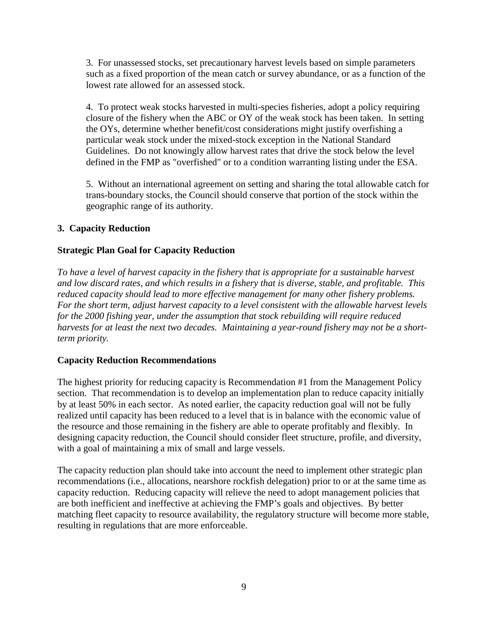3. For unassessed stocks, set precautionary harvest levels based on simple parameters such as a fixed proportion of the mean catch or survey abundance, or as a function of the lowest rate allowed for an assessed stock.

4. To protect weak stocks harvested in multi-species fisheries, adopt a policy requiring closure of the fishery when the ABC or OY of the weak stock has been taken. In setting the OYs, determine whether benefit/cost considerations might justify overfishing a particular weak stock under the mixed-stock exception in the National Standard Guidelines. Do not knowingly allow harvest rates that drive the stock below the level defined in the FMP as "overfished" or to a condition warranting listing under the ESA.

5. Without an international agreement on setting and sharing the total allowable catch for trans-boundary stocks, the Council should conserve that portion of the stock within the geographic range of its authority.

# **3. Capacity Reduction**

# **Strategic Plan Goal for Capacity Reduction**

*To have a level of harvest capacity in the fishery that is appropriate for a sustainable harvest and low discard rates, and which results in a fishery that is diverse, stable, and profitable. This reduced capacity should lead to more effective management for many other fishery problems. For the short term, adjust harvest capacity to a level consistent with the allowable harvest levels for the 2000 fishing year, under the assumption that stock rebuilding will require reduced harvests for at least the next two decades. Maintaining a year-round fishery may not be a shortterm priority.*

# **Capacity Reduction Recommendations**

The highest priority for reducing capacity is Recommendation #1 from the Management Policy section. That recommendation is to develop an implementation plan to reduce capacity initially by at least 50% in each sector. As noted earlier, the capacity reduction goal will not be fully realized until capacity has been reduced to a level that is in balance with the economic value of the resource and those remaining in the fishery are able to operate profitably and flexibly. In designing capacity reduction, the Council should consider fleet structure, profile, and diversity, with a goal of maintaining a mix of small and large vessels.

The capacity reduction plan should take into account the need to implement other strategic plan recommendations (i.e., allocations, nearshore rockfish delegation) prior to or at the same time as capacity reduction. Reducing capacity will relieve the need to adopt management policies that are both inefficient and ineffective at achieving the FMP's goals and objectives. By better matching fleet capacity to resource availability, the regulatory structure will become more stable, resulting in regulations that are more enforceable.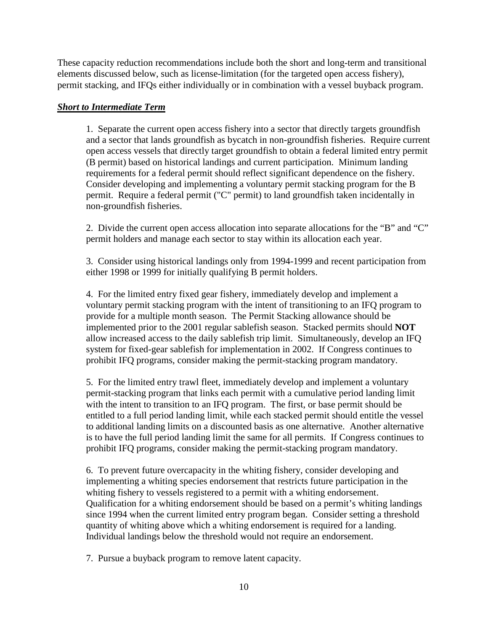These capacity reduction recommendations include both the short and long-term and transitional elements discussed below, such as license-limitation (for the targeted open access fishery), permit stacking, and IFQs either individually or in combination with a vessel buyback program.

## *Short to Intermediate Term*

1. Separate the current open access fishery into a sector that directly targets groundfish and a sector that lands groundfish as bycatch in non-groundfish fisheries. Require current open access vessels that directly target groundfish to obtain a federal limited entry permit (B permit) based on historical landings and current participation. Minimum landing requirements for a federal permit should reflect significant dependence on the fishery. Consider developing and implementing a voluntary permit stacking program for the B permit. Require a federal permit ("C" permit) to land groundfish taken incidentally in non-groundfish fisheries.

2. Divide the current open access allocation into separate allocations for the "B" and "C" permit holders and manage each sector to stay within its allocation each year.

3. Consider using historical landings only from 1994-1999 and recent participation from either 1998 or 1999 for initially qualifying B permit holders.

4. For the limited entry fixed gear fishery, immediately develop and implement a voluntary permit stacking program with the intent of transitioning to an IFQ program to provide for a multiple month season. The Permit Stacking allowance should be implemented prior to the 2001 regular sablefish season. Stacked permits should **NOT** allow increased access to the daily sablefish trip limit. Simultaneously, develop an IFQ system for fixed-gear sablefish for implementation in 2002. If Congress continues to prohibit IFQ programs, consider making the permit-stacking program mandatory.

5. For the limited entry trawl fleet, immediately develop and implement a voluntary permit-stacking program that links each permit with a cumulative period landing limit with the intent to transition to an IFQ program. The first, or base permit should be entitled to a full period landing limit, while each stacked permit should entitle the vessel to additional landing limits on a discounted basis as one alternative. Another alternative is to have the full period landing limit the same for all permits. If Congress continues to prohibit IFQ programs, consider making the permit-stacking program mandatory.

6. To prevent future overcapacity in the whiting fishery, consider developing and implementing a whiting species endorsement that restricts future participation in the whiting fishery to vessels registered to a permit with a whiting endorsement. Qualification for a whiting endorsement should be based on a permit's whiting landings since 1994 when the current limited entry program began. Consider setting a threshold quantity of whiting above which a whiting endorsement is required for a landing. Individual landings below the threshold would not require an endorsement.

7. Pursue a buyback program to remove latent capacity.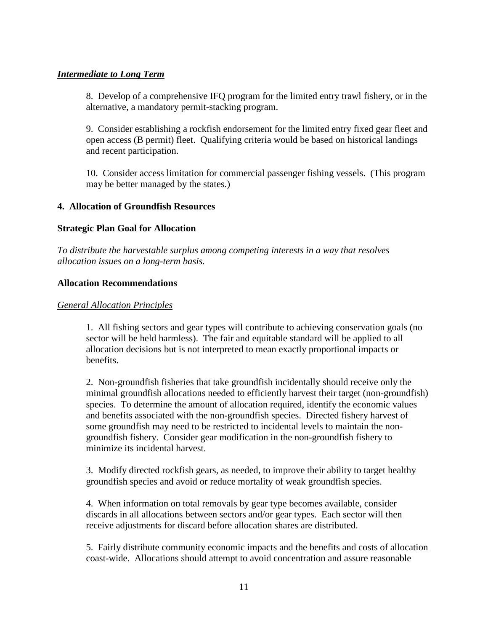# *Intermediate to Long Term*

8. Develop of a comprehensive IFQ program for the limited entry trawl fishery, or in the alternative, a mandatory permit-stacking program.

9. Consider establishing a rockfish endorsement for the limited entry fixed gear fleet and open access (B permit) fleet. Qualifying criteria would be based on historical landings and recent participation.

10. Consider access limitation for commercial passenger fishing vessels. (This program may be better managed by the states.)

## **4. Allocation of Groundfish Resources**

## **Strategic Plan Goal for Allocation**

*To distribute the harvestable surplus among competing interests in a way that resolves allocation issues on a long-term basis.*

## **Allocation Recommendations**

## *General Allocation Principles*

1. All fishing sectors and gear types will contribute to achieving conservation goals (no sector will be held harmless). The fair and equitable standard will be applied to all allocation decisions but is not interpreted to mean exactly proportional impacts or benefits.

2. Non-groundfish fisheries that take groundfish incidentally should receive only the minimal groundfish allocations needed to efficiently harvest their target (non-groundfish) species. To determine the amount of allocation required, identify the economic values and benefits associated with the non-groundfish species. Directed fishery harvest of some groundfish may need to be restricted to incidental levels to maintain the nongroundfish fishery. Consider gear modification in the non-groundfish fishery to minimize its incidental harvest.

3. Modify directed rockfish gears, as needed, to improve their ability to target healthy groundfish species and avoid or reduce mortality of weak groundfish species.

4. When information on total removals by gear type becomes available, consider discards in all allocations between sectors and/or gear types. Each sector will then receive adjustments for discard before allocation shares are distributed.

5. Fairly distribute community economic impacts and the benefits and costs of allocation coast-wide. Allocations should attempt to avoid concentration and assure reasonable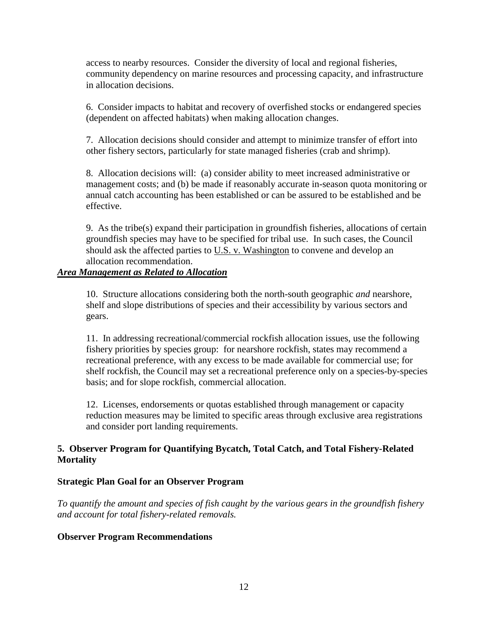access to nearby resources. Consider the diversity of local and regional fisheries, community dependency on marine resources and processing capacity, and infrastructure in allocation decisions.

6. Consider impacts to habitat and recovery of overfished stocks or endangered species (dependent on affected habitats) when making allocation changes.

7. Allocation decisions should consider and attempt to minimize transfer of effort into other fishery sectors, particularly for state managed fisheries (crab and shrimp).

8. Allocation decisions will: (a) consider ability to meet increased administrative or management costs; and (b) be made if reasonably accurate in-season quota monitoring or annual catch accounting has been established or can be assured to be established and be effective.

9. As the tribe(s) expand their participation in groundfish fisheries, allocations of certain groundfish species may have to be specified for tribal use. In such cases, the Council should ask the affected parties to U.S. v. Washington to convene and develop an allocation recommendation.

## *Area Management as Related to Allocation*

10. Structure allocations considering both the north-south geographic *and* nearshore, shelf and slope distributions of species and their accessibility by various sectors and gears.

11. In addressing recreational/commercial rockfish allocation issues, use the following fishery priorities by species group: for nearshore rockfish, states may recommend a recreational preference, with any excess to be made available for commercial use; for shelf rockfish, the Council may set a recreational preference only on a species-by-species basis; and for slope rockfish, commercial allocation.

12. Licenses, endorsements or quotas established through management or capacity reduction measures may be limited to specific areas through exclusive area registrations and consider port landing requirements.

# **5. Observer Program for Quantifying Bycatch, Total Catch, and Total Fishery-Related Mortality**

## **Strategic Plan Goal for an Observer Program**

*To quantify the amount and species of fish caught by the various gears in the groundfish fishery and account for total fishery-related removals.*

## **Observer Program Recommendations**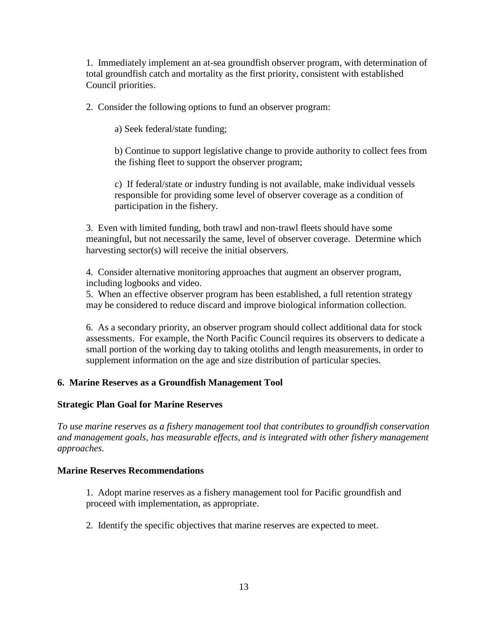1. Immediately implement an at-sea groundfish observer program, with determination of total groundfish catch and mortality as the first priority, consistent with established Council priorities.

2. Consider the following options to fund an observer program:

a) Seek federal/state funding;

b) Continue to support legislative change to provide authority to collect fees from the fishing fleet to support the observer program;

c) If federal/state or industry funding is not available, make individual vessels responsible for providing some level of observer coverage as a condition of participation in the fishery.

3. Even with limited funding, both trawl and non-trawl fleets should have some meaningful, but not necessarily the same, level of observer coverage. Determine which harvesting sector(s) will receive the initial observers.

4. Consider alternative monitoring approaches that augment an observer program, including logbooks and video.

5. When an effective observer program has been established, a full retention strategy may be considered to reduce discard and improve biological information collection.

6. As a secondary priority, an observer program should collect additional data for stock assessments. For example, the North Pacific Council requires its observers to dedicate a small portion of the working day to taking otoliths and length measurements, in order to supplement information on the age and size distribution of particular species.

# **6. Marine Reserves as a Groundfish Management Tool**

## **Strategic Plan Goal for Marine Reserves**

*To use marine reserves as a fishery management tool that contributes to groundfish conservation and management goals, has measurable effects, and is integrated with other fishery management approaches.*

## **Marine Reserves Recommendations**

1. Adopt marine reserves as a fishery management tool for Pacific groundfish and proceed with implementation, as appropriate.

2. Identify the specific objectives that marine reserves are expected to meet.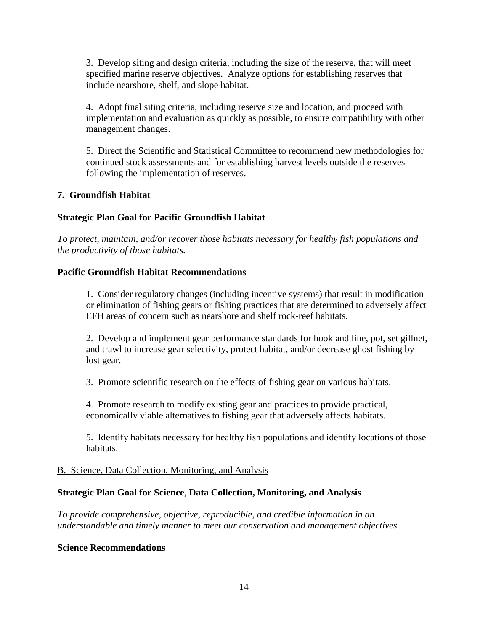3. Develop siting and design criteria, including the size of the reserve, that will meet specified marine reserve objectives. Analyze options for establishing reserves that include nearshore, shelf, and slope habitat.

4. Adopt final siting criteria, including reserve size and location, and proceed with implementation and evaluation as quickly as possible, to ensure compatibility with other management changes.

5. Direct the Scientific and Statistical Committee to recommend new methodologies for continued stock assessments and for establishing harvest levels outside the reserves following the implementation of reserves.

## **7. Groundfish Habitat**

# **Strategic Plan Goal for Pacific Groundfish Habitat**

*To protect, maintain, and/or recover those habitats necessary for healthy fish populations and the productivity of those habitats.*

## **Pacific Groundfish Habitat Recommendations**

1. Consider regulatory changes (including incentive systems) that result in modification or elimination of fishing gears or fishing practices that are determined to adversely affect EFH areas of concern such as nearshore and shelf rock-reef habitats.

2. Develop and implement gear performance standards for hook and line, pot, set gillnet, and trawl to increase gear selectivity, protect habitat, and/or decrease ghost fishing by lost gear.

3. Promote scientific research on the effects of fishing gear on various habitats.

4. Promote research to modify existing gear and practices to provide practical, economically viable alternatives to fishing gear that adversely affects habitats.

5. Identify habitats necessary for healthy fish populations and identify locations of those habitats.

## B. Science, Data Collection, Monitoring, and Analysis

## **Strategic Plan Goal for Science**, **Data Collection, Monitoring, and Analysis**

*To provide comprehensive, objective, reproducible, and credible information in an understandable and timely manner to meet our conservation and management objectives.*

## **Science Recommendations**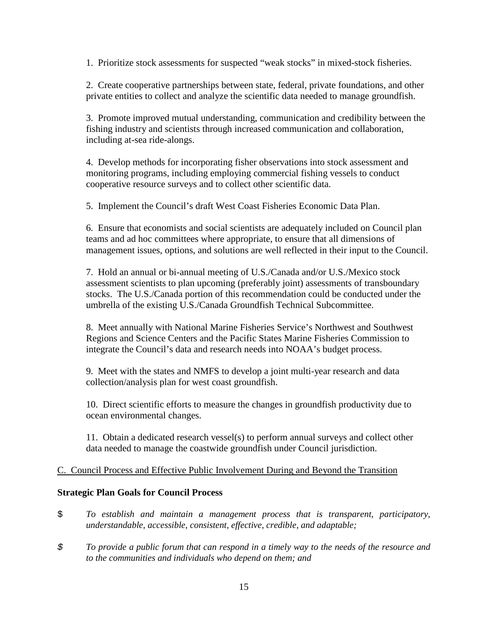1. Prioritize stock assessments for suspected "weak stocks" in mixed-stock fisheries.

2. Create cooperative partnerships between state, federal, private foundations, and other private entities to collect and analyze the scientific data needed to manage groundfish.

3. Promote improved mutual understanding, communication and credibility between the fishing industry and scientists through increased communication and collaboration, including at-sea ride-alongs.

4. Develop methods for incorporating fisher observations into stock assessment and monitoring programs, including employing commercial fishing vessels to conduct cooperative resource surveys and to collect other scientific data.

5. Implement the Council's draft West Coast Fisheries Economic Data Plan.

6. Ensure that economists and social scientists are adequately included on Council plan teams and ad hoc committees where appropriate, to ensure that all dimensions of management issues, options, and solutions are well reflected in their input to the Council.

7. Hold an annual or bi-annual meeting of U.S./Canada and/or U.S./Mexico stock assessment scientists to plan upcoming (preferably joint) assessments of transboundary stocks. The U.S./Canada portion of this recommendation could be conducted under the umbrella of the existing U.S./Canada Groundfish Technical Subcommittee.

8. Meet annually with National Marine Fisheries Service's Northwest and Southwest Regions and Science Centers and the Pacific States Marine Fisheries Commission to integrate the Council's data and research needs into NOAA's budget process.

9. Meet with the states and NMFS to develop a joint multi-year research and data collection/analysis plan for west coast groundfish.

10. Direct scientific efforts to measure the changes in groundfish productivity due to ocean environmental changes.

11. Obtain a dedicated research vessel(s) to perform annual surveys and collect other data needed to manage the coastwide groundfish under Council jurisdiction.

# C. Council Process and Effective Public Involvement During and Beyond the Transition

## **Strategic Plan Goals for Council Process**

- \$ *To establish and maintain a management process that is transparent, participatory, understandable, accessible, consistent, effective, credible, and adaptable;*
- *\$ To provide a public forum that can respond in a timely way to the needs of the resource and to the communities and individuals who depend on them; and*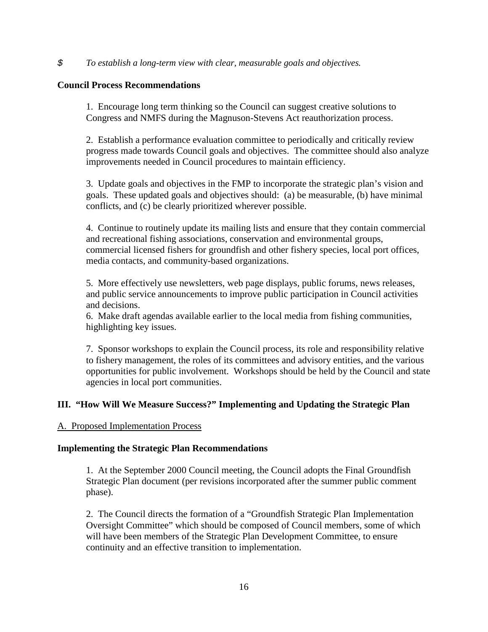#### *\$ To establish a long-term view with clear, measurable goals and objectives.*

#### **Council Process Recommendations**

1. Encourage long term thinking so the Council can suggest creative solutions to Congress and NMFS during the Magnuson-Stevens Act reauthorization process.

2. Establish a performance evaluation committee to periodically and critically review progress made towards Council goals and objectives. The committee should also analyze improvements needed in Council procedures to maintain efficiency.

3. Update goals and objectives in the FMP to incorporate the strategic plan's vision and goals. These updated goals and objectives should: (a) be measurable, (b) have minimal conflicts, and (c) be clearly prioritized wherever possible.

4. Continue to routinely update its mailing lists and ensure that they contain commercial and recreational fishing associations, conservation and environmental groups, commercial licensed fishers for groundfish and other fishery species, local port offices, media contacts, and community-based organizations.

5. More effectively use newsletters, web page displays, public forums, news releases, and public service announcements to improve public participation in Council activities and decisions.

6. Make draft agendas available earlier to the local media from fishing communities, highlighting key issues.

7. Sponsor workshops to explain the Council process, its role and responsibility relative to fishery management, the roles of its committees and advisory entities, and the various opportunities for public involvement. Workshops should be held by the Council and state agencies in local port communities.

# **III. "How Will We Measure Success?" Implementing and Updating the Strategic Plan**

## A. Proposed Implementation Process

## **Implementing the Strategic Plan Recommendations**

1. At the September 2000 Council meeting, the Council adopts the Final Groundfish Strategic Plan document (per revisions incorporated after the summer public comment phase).

2. The Council directs the formation of a "Groundfish Strategic Plan Implementation Oversight Committee" which should be composed of Council members, some of which will have been members of the Strategic Plan Development Committee, to ensure continuity and an effective transition to implementation.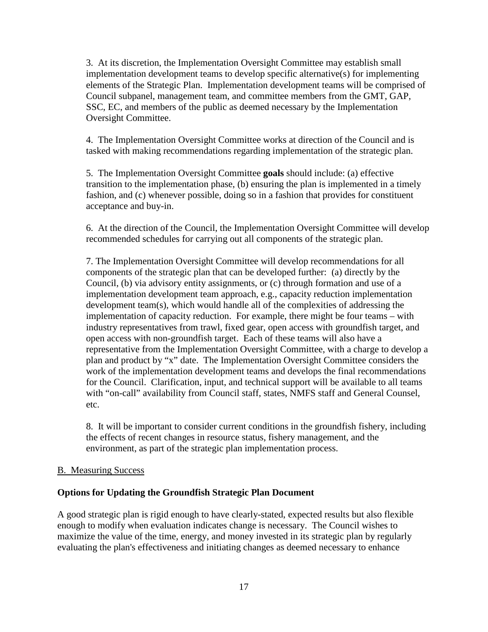3. At its discretion, the Implementation Oversight Committee may establish small implementation development teams to develop specific alternative(s) for implementing elements of the Strategic Plan. Implementation development teams will be comprised of Council subpanel, management team, and committee members from the GMT, GAP, SSC, EC, and members of the public as deemed necessary by the Implementation Oversight Committee.

4. The Implementation Oversight Committee works at direction of the Council and is tasked with making recommendations regarding implementation of the strategic plan.

5. The Implementation Oversight Committee **goals** should include: (a) effective transition to the implementation phase, (b) ensuring the plan is implemented in a timely fashion, and (c) whenever possible, doing so in a fashion that provides for constituent acceptance and buy-in.

6. At the direction of the Council, the Implementation Oversight Committee will develop recommended schedules for carrying out all components of the strategic plan.

7. The Implementation Oversight Committee will develop recommendations for all components of the strategic plan that can be developed further: (a) directly by the Council, (b) via advisory entity assignments, or (c) through formation and use of a implementation development team approach, e.g., capacity reduction implementation development team(s), which would handle all of the complexities of addressing the implementation of capacity reduction. For example, there might be four teams – with industry representatives from trawl, fixed gear, open access with groundfish target, and open access with non-groundfish target. Each of these teams will also have a representative from the Implementation Oversight Committee, with a charge to develop a plan and product by "x" date. The Implementation Oversight Committee considers the work of the implementation development teams and develops the final recommendations for the Council. Clarification, input, and technical support will be available to all teams with "on-call" availability from Council staff, states, NMFS staff and General Counsel, etc.

8. It will be important to consider current conditions in the groundfish fishery, including the effects of recent changes in resource status, fishery management, and the environment, as part of the strategic plan implementation process.

## B. Measuring Success

## **Options for Updating the Groundfish Strategic Plan Document**

A good strategic plan is rigid enough to have clearly-stated, expected results but also flexible enough to modify when evaluation indicates change is necessary. The Council wishes to maximize the value of the time, energy, and money invested in its strategic plan by regularly evaluating the plan's effectiveness and initiating changes as deemed necessary to enhance